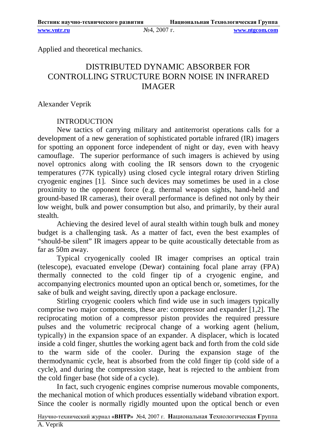Applied and theoretical mechanics.

# DISTRIBUTED DYNAMIC ABSORBER FOR CONTROLLING STRUCTURE BORN NOISE IN INFRARED IMAGER

Alexander Veprik

## INTRODUCTION

New tactics of carrying military and antiterrorist operations calls for a development of a new generation of sophisticated portable infrared (IR) imagers for spotting an opponent force independent of night or day, even with heavy camouflage. The superior performance of such imagers is achieved by using novel optronics along with cooling the IR sensors down to the cryogenic temperatures (77K typically) using closed cycle integral rotary driven Stirling cryogenic engines [1]. Since such devices may sometimes be used in a close proximity to the opponent force (e.g. thermal weapon sights, hand-held and ground-based IR cameras), their overall performance is defined not only by their low weight, bulk and power consumption but also, and primarily, by their aural stealth.

Achieving the desired level of aural stealth within tough bulk and money budget is a challenging task. As a matter of fact, even the best examples of "should-be silent" IR imagers appear to be quite acoustically detectable from as far as 50m away.

Typical cryogenically cooled IR imager comprises an optical train (telescope), evacuated envelope (Dewar) containing focal plane array (FPA) thermally connected to the cold finger tip of a cryogenic engine, and accompanying electronics mounted upon an optical bench or, sometimes, for the sake of bulk and weight saving, directly upon a package enclosure.

Stirling cryogenic coolers which find wide use in such imagers typically comprise two major components, these are: compressor and expander [1,2]. The reciprocating motion of a compressor piston provides the required pressure pulses and the volumetric reciprocal change of a working agent (helium, typically) in the expansion space of an expander. A displacer, which is located inside a cold finger, shuttles the working agent back and forth from the cold side to the warm side of the cooler. During the expansion stage of the thermodynamic cycle, heat is absorbed from the cold finger tip (cold side of a cycle), and during the compression stage, heat is rejected to the ambient from the cold finger base (hot side of a cycle).

In fact, such cryogenic engines comprise numerous movable components, the mechanical motion of which produces essentially wideband vibration export. Since the cooler is normally rigidly mounted upon the optical bench or even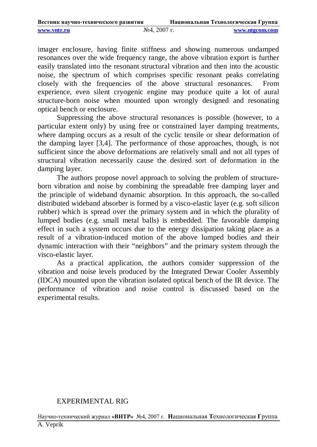| Вестник научно-технического развития |                 | Национальная Технологическая Группа |  |
|--------------------------------------|-----------------|-------------------------------------|--|
| www.yntr.ru                          | $N24$ , 2007 г. | www.ntgcom.com                      |  |

imager enclosure, having finite stiffness and showing numerous undamped resonances over the wide frequency range, the above vibration export is further easily translated into the resonant structural vibration and then into the acoustic noise, the spectrum of which comprises specific resonant peaks correlating closely with the frequencies of the above structural resonances. From experience, even silent cryogenic engine may produce quite a lot of aural structure-born noise when mounted upon wrongly designed and resonating optical bench or enclosure.

Suppressing the above structural resonances is possible (however, to a particular extent only) by using free or constrained layer damping treatments, where damping occurs as a result of the cyclic tensile or shear deformation of the damping layer [3,4]. The performance of those approaches, though, is not sufficient since the above deformations are relatively small and not all types of structural vibration necessarily cause the desired sort of deformation in the damping layer.

The authors propose novel approach to solving the problem of structureborn vibration and noise by combining the spreadable free damping layer and the principle of wideband dynamic absorption. In this approach, the so-called distributed wideband absorber is formed by a visco-elastic layer (e.g. soft silicon rubber) which is spread over the primary system and in which the plurality of lumped bodies (e.g. small metal balls) is embedded. The favorable damping effect in such a system occurs due to the energy dissipation taking place as a result of a vibration-induced motion of the above lumped bodies and their dynamic interaction with their "neighbors" and the primary system through the visco-elastic layer.

As a practical application, the authors consider suppression of the vibration and noise levels produced by the Integrated Dewar Cooler Assembly (IDCA) mounted upon the vibration isolated optical bench of the IR device. The performance of vibration and noise control is discussed based on the experimental results.

#### EXPERIMENTAL RIG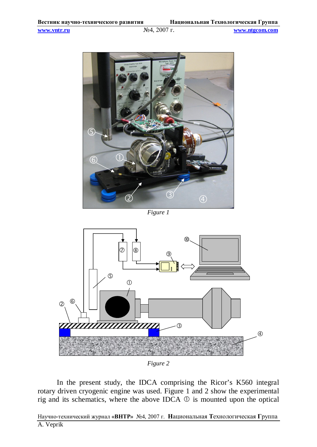

*Figure 1*



*Figure 2*

In the present study, the IDCA comprising the Ricor's K560 integral rotary driven cryogenic engine was used. Figure 1 and 2 show the experimental rig and its schematics, where the above IDCA  $\mathbb D$  is mounted upon the optical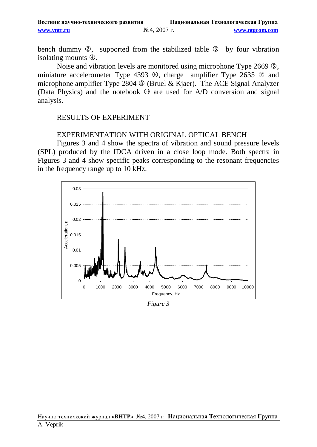| Вестник научно-технического развития |                | Национальная Технологическая Группа |
|--------------------------------------|----------------|-------------------------------------|
| www.yntr.ru                          | $N24, 2007$ г. | www.ntgcom.com                      |

bench dummy  $\oslash$ , supported from the stabilized table  $\oslash$  by four vibration isolating mounts  $\Phi$ .

Noise and vibration levels are monitored using microphone Type 2669  $\circled{S}$ , miniature accelerometer Type 4393  $\circledcirc$ , charge amplifier Type 2635  $\circledcirc$  and microphone amplifier Type 2804  $\circledast$  (Bruel & Kjaer). The ACE Signal Analyzer (Data Physics) and the notebook  $\mathcal{D}$  are used for A/D conversion and signal analysis.

## RESULTS OF EXPERIMENT

## EXPERIMENTATION WITH ORIGINAL OPTICAL BENCH

Figures 3 and 4 show the spectra of vibration and sound pressure levels (SPL) produced by the IDCA driven in a close loop mode. Both spectra in Figures 3 and 4 show specific peaks corresponding to the resonant frequencies in the frequency range up to 10 kHz.



*Figure 3*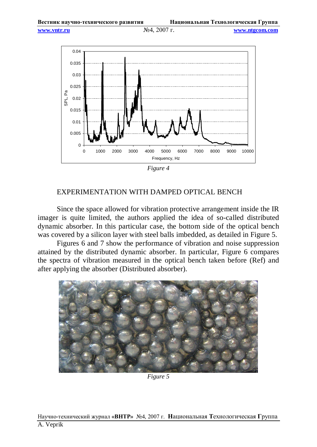

*Figure 4*

## EXPERIMENTATION WITH DAMPED OPTICAL BENCH

Since the space allowed for vibration protective arrangement inside the IR imager is quite limited, the authors applied the idea of so-called distributed dynamic absorber. In this particular case, the bottom side of the optical bench was covered by a silicon layer with steel balls imbedded, as detailed in Figure 5.

Figures 6 and 7 show the performance of vibration and noise suppression attained by the distributed dynamic absorber. In particular, Figure 6 compares the spectra of vibration measured in the optical bench taken before (Ref) and after applying the absorber (Distributed absorber).



*Figure 5*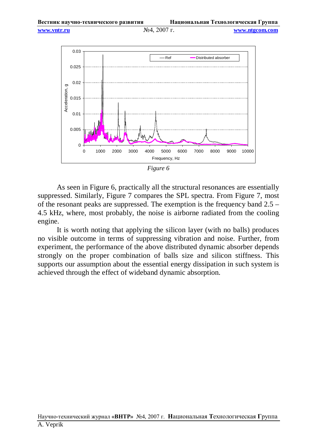

*Figure 6*

As seen in Figure 6, practically all the structural resonances are essentially suppressed. Similarly, Figure 7 compares the SPL spectra. From Figure 7, most of the resonant peaks are suppressed. The exemption is the frequency band 2.5 – 4.5 kHz, where, most probably, the noise is airborne radiated from the cooling engine.

It is worth noting that applying the silicon layer (with no balls) produces no visible outcome in terms of suppressing vibration and noise. Further, from experiment, the performance of the above distributed dynamic absorber depends strongly on the proper combination of balls size and silicon stiffness. This supports our assumption about the essential energy dissipation in such system is achieved through the effect of wideband dynamic absorption.